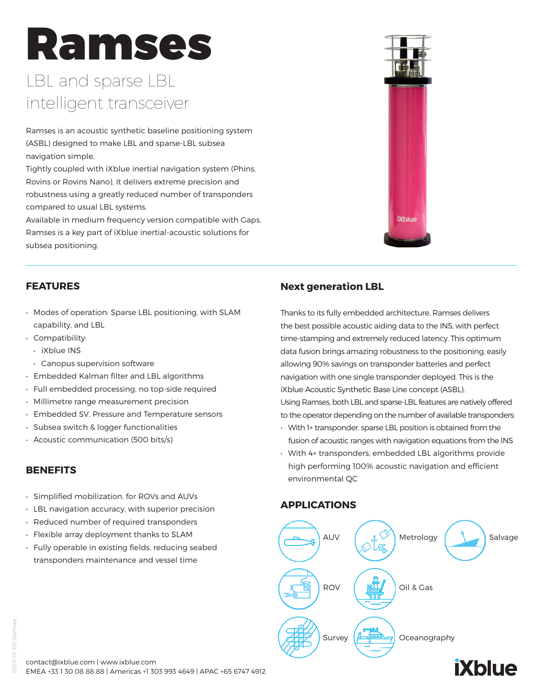# Ramses

## LBL and sparse LBL intelligent transceiver

Ramses is an acoustic synthetic baseline positioning system (ASBL) designed to make LBL and sparse-LBL subsea navigation simple.

Tightly coupled with iXblue inertial navigation system (Phins, Rovins or Rovins Nano), it delivers extreme precision and robustness using a greatly reduced number of transponders compared to usual LBL systems.

Available in medium frequency version compatible with Gaps, Ramses is a key part of iXblue inertial-acoustic solutions for subsea positioning.

#### **FEATURES**

- Modes of operation: Sparse LBL positioning, with SLAM capability, and LBL
- Compatibility:
	- iXblue INS
	- Canopus supervision software
- Embedded Kalman filter and LBL algorithms
- Full embedded processing, no top-side required
- Millimetre range measurement precision
- Embedded SV, Pressure and Temperature sensors
- Subsea switch & logger functionalities
- Acoustic communication (500 bits/s)

#### **BENEFITS**

- Simplified mobilization, for ROVs and AUVs
- LBL navigation accuracy, with superior precision
- Reduced number of required transponders
- Flexible array deployment thanks to SLAM
- Fully operable in existing fields, reducing seabed transponders maintenance and vessel time

#### **Next generation LBL**

Thanks to its fully embedded architecture, Ramses delivers the best possible acoustic aiding data to the INS, with perfect time-stamping and extremely reduced latency. This optimum data fusion brings amazing robustness to the positioning, easily allowing 90% savings on transponder batteries and perfect navigation with one single transponder deployed. This is the iXblue Acoustic Synthetic Base Line concept (ASBL). Using Ramses, both LBL and sparse-LBL features are natively offered to the operator depending on the number of available transponders:

- With 1+ transponder, sparse LBL position is obtained from the fusion of acoustic ranges with navigation equations from the INS
- With 4+ transponders, embedded LBL algorithms provide high performing 100% acoustic navigation and efficient environmental QC

#### **APPLICATIONS**





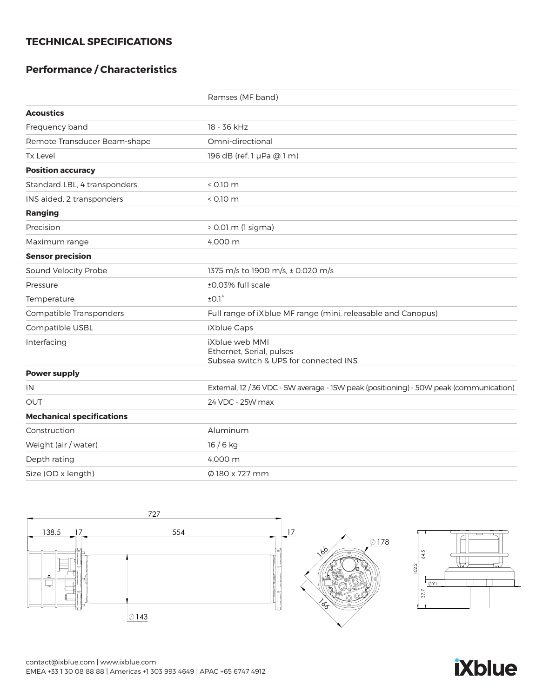#### **TECHNICAL SPECIFICATIONS**

### **Performance / Characteristics**

|                                  | Ramses (MF band)                                                                       |
|----------------------------------|----------------------------------------------------------------------------------------|
| <b>Acoustics</b>                 |                                                                                        |
| Frequency band                   | 18 - 36 kHz                                                                            |
| Remote Transducer Beam-shape     | Omni-directional                                                                       |
| Tx Level                         | 196 dB (ref. 1 µPa @ 1 m)                                                              |
| <b>Position accuracy</b>         |                                                                                        |
| Standard LBL, 4 transponders     | < 0.10 m                                                                               |
| INS aided, 2 transponders        | < 0.10 m                                                                               |
| Ranging                          |                                                                                        |
| Precision                        | > 0.01 m (1 sigma)                                                                     |
| Maximum range                    | 4.000 m                                                                                |
| <b>Sensor precision</b>          |                                                                                        |
| Sound Velocity Probe             | 1375 m/s to 1900 m/s, ± 0.020 m/s                                                      |
| Pressure                         | ±0.03% full scale                                                                      |
| Temperature                      | $\pm$ O.1 $\degree$                                                                    |
| Compatible Transponders          | Full range of iXblue MF range (mini, releasable and Canopus)                           |
| Compatible USBL                  | iXblue Gaps                                                                            |
| Interfacing                      | iXblue web MMI<br>Ethernet, Serial, pulses<br>Subsea switch & UPS for connected INS    |
| <b>Power supply</b>              |                                                                                        |
| IN                               | External, 12 / 36 VDC - 5W average - 15W peak (positioning) - 50W peak (communication) |
| <b>OUT</b>                       | 24 VDC - 25W max                                                                       |
| <b>Mechanical specifications</b> |                                                                                        |
| Construction                     | Aluminum                                                                               |
| Weight (air / water)             | $16/6$ kg                                                                              |
| Depth rating                     | 4.000 m                                                                                |
| Size (OD x length)               | $\phi$ 180 x 727 mm                                                                    |



contact@ixblue.com | www.ixblue.com M M EMEA +33 1 30 08 88 88 | Americas +1 303 993 4649 | APAC +65 6747 4912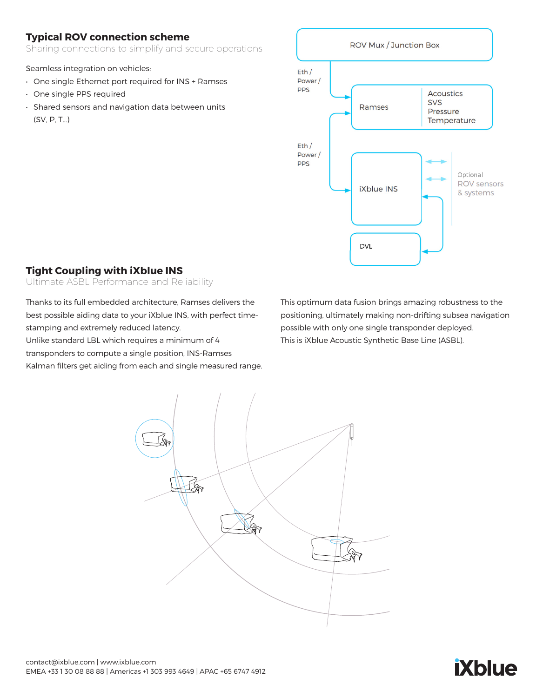#### **Typical ROV connection scheme**

Sharing connections to simplify and secure operations

Seamless integration on vehicles:

- One single Ethernet port required for INS + Ramses
- One single PPS required
- Shared sensors and navigation data between units (SV, P, T…)



### **Tight Coupling with iXblue INS**

Ultimate ASBL Performance and Reliability

Thanks to its full embedded architecture, Ramses delivers the best possible aiding data to your iXblue INS, with perfect timestamping and extremely reduced latency.

Unlike standard LBL which requires a minimum of 4 transponders to compute a single position, INS-Ramses Kalman filters get aiding from each and single measured range. This optimum data fusion brings amazing robustness to the positioning, ultimately making non-drifting subsea navigation possible with only one single transponder deployed. This is iXblue Acoustic Synthetic Base Line (ASBL).



# **iXblue**